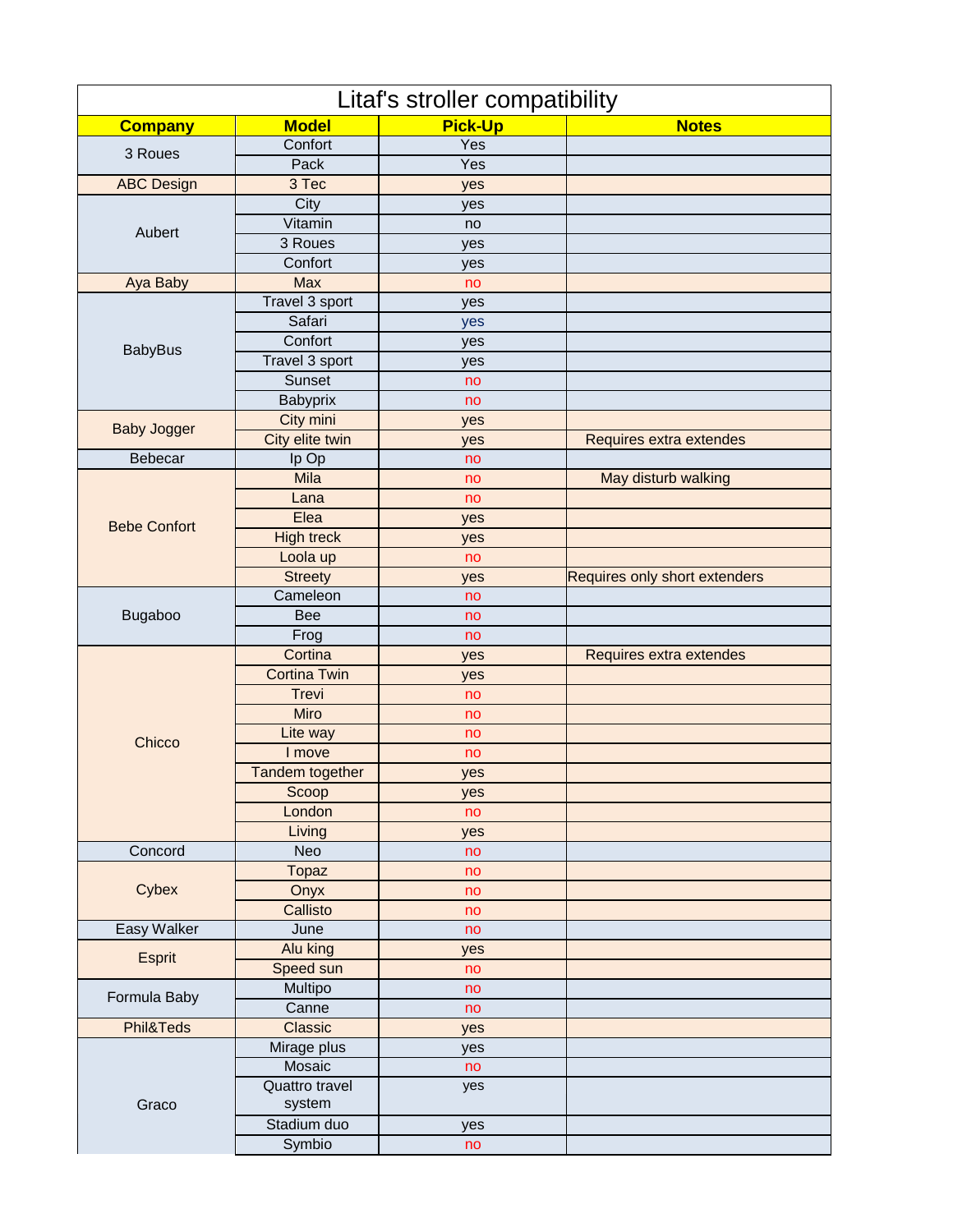| Litaf's stroller compatibility |                          |                |                               |  |  |
|--------------------------------|--------------------------|----------------|-------------------------------|--|--|
| <b>Company</b>                 | <b>Model</b>             | <b>Pick-Up</b> | <b>Notes</b>                  |  |  |
| 3 Roues                        | Confort                  | Yes            |                               |  |  |
|                                | Pack                     | Yes            |                               |  |  |
| <b>ABC Design</b>              | 3 Tec                    | yes            |                               |  |  |
|                                | City                     | yes            |                               |  |  |
| Aubert                         | Vitamin                  | no             |                               |  |  |
|                                | 3 Roues                  | yes            |                               |  |  |
|                                | Confort                  | yes            |                               |  |  |
| Aya Baby                       | <b>Max</b>               | no             |                               |  |  |
|                                | Travel 3 sport           | yes            |                               |  |  |
|                                | Safari                   | yes            |                               |  |  |
| <b>BabyBus</b>                 | Confort                  | yes            |                               |  |  |
|                                | Travel 3 sport           | yes            |                               |  |  |
|                                | Sunset                   | no             |                               |  |  |
|                                | Babyprix                 | no             |                               |  |  |
| <b>Baby Jogger</b>             | City mini                | yes            |                               |  |  |
|                                | City elite twin          | yes            | Requires extra extendes       |  |  |
| Bebecar                        | Ip Op                    | no             |                               |  |  |
|                                | Mila                     | no             | May disturb walking           |  |  |
|                                | Lana                     | no             |                               |  |  |
| <b>Bebe Confort</b>            | Elea                     | yes            |                               |  |  |
|                                | <b>High treck</b>        | yes            |                               |  |  |
|                                | Loola up                 | no             |                               |  |  |
|                                | <b>Streety</b>           | yes            | Requires only short extenders |  |  |
|                                | Cameleon                 | no             |                               |  |  |
| Bugaboo                        | <b>Bee</b>               | no             |                               |  |  |
|                                | Frog                     | no             |                               |  |  |
|                                | Cortina                  | yes            | Requires extra extendes       |  |  |
|                                | <b>Cortina Twin</b>      | yes            |                               |  |  |
|                                | <b>Trevi</b>             | no             |                               |  |  |
|                                | Miro                     | no             |                               |  |  |
| Chicco                         | Lite way                 | no             |                               |  |  |
|                                | I move                   | no             |                               |  |  |
|                                | Tandem together          | yes            |                               |  |  |
|                                | Scoop                    | yes            |                               |  |  |
|                                | London                   | no             |                               |  |  |
|                                | Living                   | yes            |                               |  |  |
| Concord                        | Neo                      | no             |                               |  |  |
|                                | <b>Topaz</b>             | no             |                               |  |  |
| Cybex                          | Onyx                     | no             |                               |  |  |
|                                | Callisto                 | no             |                               |  |  |
| Easy Walker                    | June                     | no             |                               |  |  |
| Esprit                         | Alu king                 | yes            |                               |  |  |
|                                | Speed sun                | no             |                               |  |  |
| Formula Baby                   | Multipo                  | no             |                               |  |  |
|                                | Canne                    | no             |                               |  |  |
| Phil&Teds                      | Classic                  | yes            |                               |  |  |
|                                | Mirage plus              | yes            |                               |  |  |
| Graco                          | Mosaic                   | no             |                               |  |  |
|                                | Quattro travel<br>system | yes            |                               |  |  |
|                                | Stadium duo              | yes            |                               |  |  |
|                                | Symbio                   | no             |                               |  |  |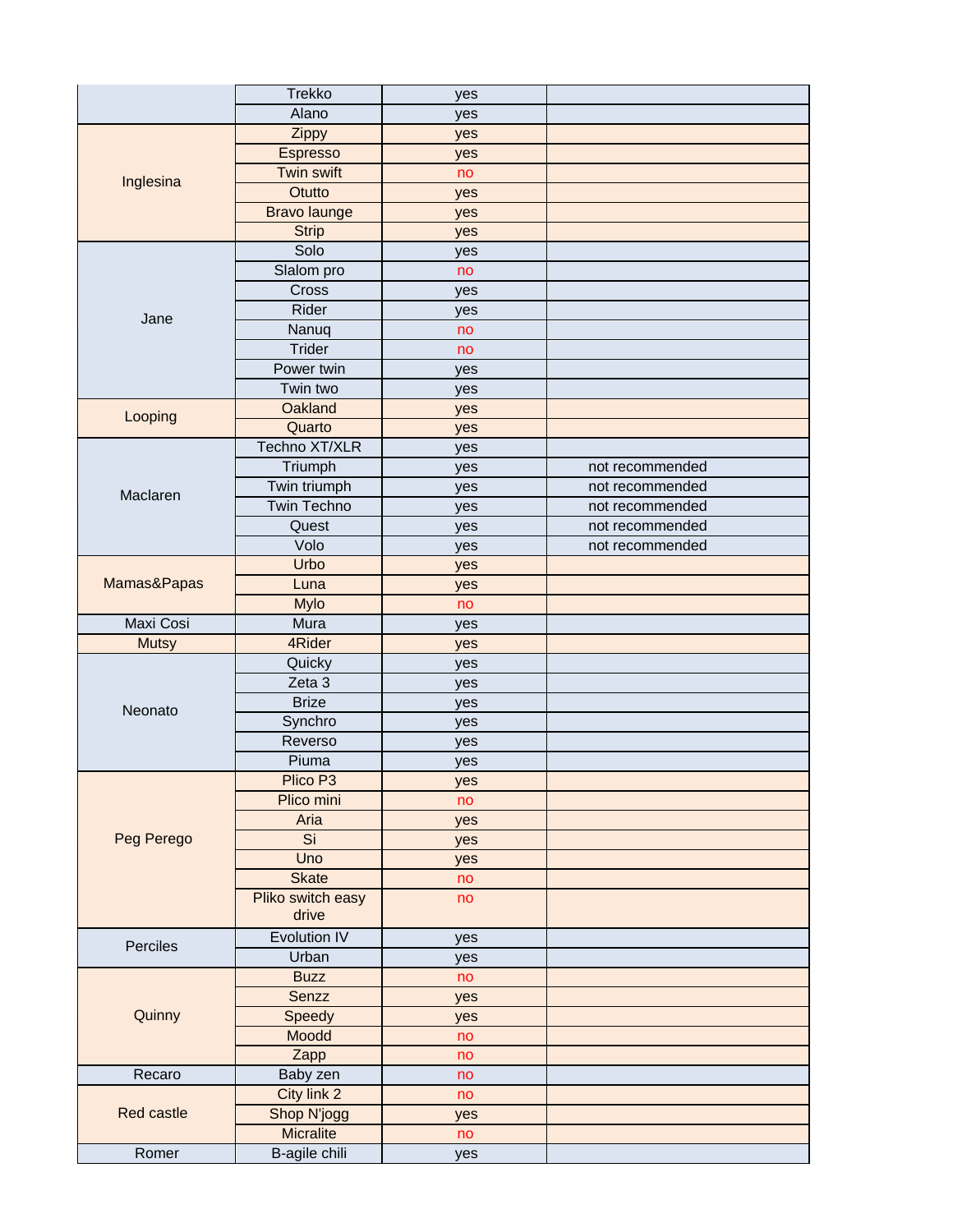|                  | <b>Trekko</b>        | yes       |                 |
|------------------|----------------------|-----------|-----------------|
|                  | Alano                | yes       |                 |
|                  | Zippy                | yes       |                 |
|                  | Espresso             | yes       |                 |
|                  | Twin swift           | no        |                 |
| Inglesina        | Otutto               | yes       |                 |
|                  | <b>Bravo launge</b>  | yes       |                 |
|                  | <b>Strip</b>         | yes       |                 |
|                  | Solo                 | yes       |                 |
| Jane             | Slalom pro           | no        |                 |
|                  | Cross                | yes       |                 |
|                  | Rider                | yes       |                 |
|                  | Nanuq                | no        |                 |
|                  | Trider               | no        |                 |
|                  | Power twin           | yes       |                 |
|                  | Twin two             | yes       |                 |
|                  | Oakland              | yes       |                 |
| Looping          | Quarto               | yes       |                 |
|                  | Techno XT/XLR        | yes       |                 |
|                  | Triumph              | yes       | not recommended |
|                  | Twin triumph         | yes       | not recommended |
| Maclaren         | Twin Techno          | yes       | not recommended |
|                  | Quest                | yes       | not recommended |
|                  | Volo                 | yes       | not recommended |
|                  | <b>Urbo</b>          | yes       |                 |
| Mamas&Papas      | Luna                 | yes       |                 |
|                  | Mylo                 | no        |                 |
| <b>Maxi Cosi</b> | Mura                 | yes       |                 |
| <b>Mutsy</b>     | 4Rider               | yes       |                 |
|                  | Quicky               | yes       |                 |
|                  | Zeta 3               | yes       |                 |
|                  | <b>Brize</b>         | yes       |                 |
| Neonato          | Synchro              | yes       |                 |
|                  | Reverso              | yes       |                 |
|                  | Piuma                | yes       |                 |
|                  | Plico P <sub>3</sub> | yes       |                 |
|                  | Plico mini           | no        |                 |
|                  | Aria                 | yes       |                 |
| Peg Perego       | Si                   |           |                 |
|                  | Uno                  | yes       |                 |
|                  | <b>Skate</b>         | yes<br>no |                 |
|                  | Pliko switch easy    | no        |                 |
|                  | drive                |           |                 |
|                  | Evolution IV         |           |                 |
| Perciles         | Urban                | yes       |                 |
|                  |                      | yes       |                 |
|                  | <b>Buzz</b>          | no        |                 |
|                  | Senzz                | yes       |                 |
| Quinny           | Speedy               | yes       |                 |
|                  | Moodd                | no        |                 |
|                  | Zapp                 | no        |                 |
| Recaro           | Baby zen             | no        |                 |
|                  | City link 2          | no        |                 |
| Red castle       | Shop N'jogg          | yes       |                 |
|                  | Micralite            | no        |                 |
| Romer            | B-agile chili        | yes       |                 |